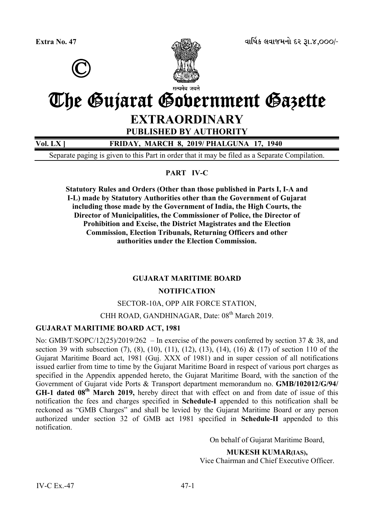



# The Gujarat Government Gazette

# **EXTRAORDINARY**

**PUBLISHED BY AUTHORITY** 

**Vol. LX ] FRIDAY, MARCH 8, 2019/ PHALGUNA 17, 1940**

Separate paging is given to this Part in order that it may be filed as a Separate Compilation.

# **PART IV-C**

**Statutory Rules and Orders (Other than those published in Parts I, I-A and I-L) made by Statutory Authorities other than the Government of Gujarat including those made by the Government of India, the High Courts, the Director of Municipalities, the Commissioner of Police, the Director of Prohibition and Excise, the District Magistrates and the Election Commission, Election Tribunals, Returning Officers and other authorities under the Election Commission.** 

#### **GUJARAT MARITIME BOARD**

#### **NOTIFICATION**

#### SECTOR-10A, OPP AIR FORCE STATION,

CHH ROAD, GANDHINAGAR, Date: 08<sup>th</sup> March 2019.

#### **GUJARAT MARITIME BOARD ACT, 1981**

No: GMB/T/SOPC/12(25)/2019/262 – In exercise of the powers conferred by section 37 & 38, and section 39 with subsection (7), (8), (10), (11), (12), (13), (14), (16) & (17) of section 110 of the Gujarat Maritime Board act, 1981 (Guj. XXX of 1981) and in super cession of all notifications issued earlier from time to time by the Gujarat Maritime Board in respect of various port charges as specified in the Appendix appended hereto, the Gujarat Maritime Board, with the sanction of the Government of Gujarat vide Ports & Transport department memorandum no. **GMB/102012/G/94/ GH-1 dated 08th March 2019,** hereby direct that with effect on and from date of issue of this notification the fees and charges specified in **Schedule-I** appended to this notification shall be reckoned as "GMB Charges" and shall be levied by the Gujarat Maritime Board or any person authorized under section 32 of GMB act 1981 specified in **Schedule-II** appended to this notification.

On behalf of Gujarat Maritime Board,

**MUKESH KUMAR(IAS),**

Vice Chairman and Chief Executive Officer.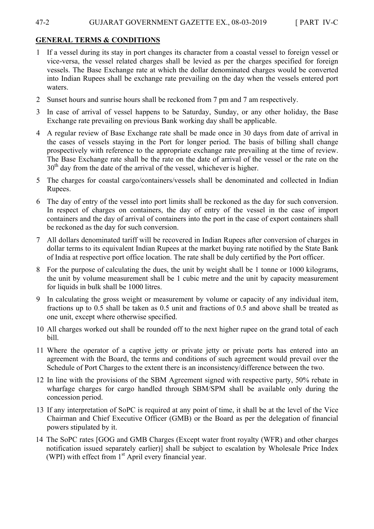#### 47-2 GUJARAT GOVERNMENT GAZETTE EX., 08-03-2019 [ PART IV-C

#### **GENERAL TERMS & CONDITIONS**

- 1 If a vessel during its stay in port changes its character from a coastal vessel to foreign vessel or vice-versa, the vessel related charges shall be levied as per the charges specified for foreign vessels. The Base Exchange rate at which the dollar denominated charges would be converted into Indian Rupees shall be exchange rate prevailing on the day when the vessels entered port waters.
- 2 Sunset hours and sunrise hours shall be reckoned from 7 pm and 7 am respectively.
- 3 In case of arrival of vessel happens to be Saturday, Sunday, or any other holiday, the Base Exchange rate prevailing on previous Bank working day shall be applicable.
- 4 A regular review of Base Exchange rate shall be made once in 30 days from date of arrival in the cases of vessels staying in the Port for longer period. The basis of billing shall change prospectively with reference to the appropriate exchange rate prevailing at the time of review. The Base Exchange rate shall be the rate on the date of arrival of the vessel or the rate on the  $30<sup>th</sup>$  day from the date of the arrival of the vessel, whichever is higher.
- 5 The charges for coastal cargo/containers/vessels shall be denominated and collected in Indian Rupees.
- 6 The day of entry of the vessel into port limits shall be reckoned as the day for such conversion. In respect of charges on containers, the day of entry of the vessel in the case of import containers and the day of arrival of containers into the port in the case of export containers shall be reckoned as the day for such conversion.
- 7 All dollars denominated tariff will be recovered in Indian Rupees after conversion of charges in dollar terms to its equivalent Indian Rupees at the market buying rate notified by the State Bank of India at respective port office location. The rate shall be duly certified by the Port officer.
- 8 For the purpose of calculating the dues, the unit by weight shall be 1 tonne or 1000 kilograms, the unit by volume measurement shall be 1 cubic metre and the unit by capacity measurement for liquids in bulk shall be 1000 litres.
- 9 In calculating the gross weight or measurement by volume or capacity of any individual item, fractions up to 0.5 shall be taken as 0.5 unit and fractions of 0.5 and above shall be treated as one unit, except where otherwise specified.
- 10 All charges worked out shall be rounded off to the next higher rupee on the grand total of each bill.
- 11 Where the operator of a captive jetty or private jetty or private ports has entered into an agreement with the Board, the terms and conditions of such agreement would prevail over the Schedule of Port Charges to the extent there is an inconsistency/difference between the two.
- 12 In line with the provisions of the SBM Agreement signed with respective party, 50% rebate in wharfage charges for cargo handled through SBM/SPM shall be available only during the concession period.
- 13 If any interpretation of SoPC is required at any point of time, it shall be at the level of the Vice Chairman and Chief Executive Officer (GMB) or the Board as per the delegation of financial powers stipulated by it.
- 14 The SoPC rates [GOG and GMB Charges (Except water front royalty (WFR) and other charges notification issued separately earlier)] shall be subject to escalation by Wholesale Price Index (WPI) with effect from  $1<sup>st</sup>$  April every financial year.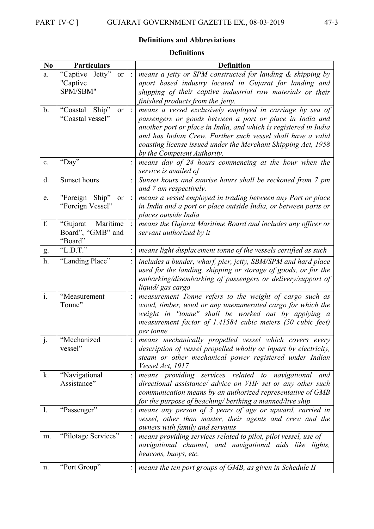# **Definitions and Abbreviations**

#### **Definitions**

| No             | <b>Particulars</b>                       |                 | <b>Definition</b>                                                                                                               |  |  |
|----------------|------------------------------------------|-----------------|---------------------------------------------------------------------------------------------------------------------------------|--|--|
| a.             | "Captive Jetty"<br><sub>or</sub>         | $\dddot{\cdot}$ | means a jetty or SPM constructed for landing $\&$ shipping by                                                                   |  |  |
|                | "Captive                                 |                 | aport based industry located in Gujarat for landing and                                                                         |  |  |
|                | SPM/SBM"                                 |                 | shipping of their captive industrial raw materials or their                                                                     |  |  |
|                |                                          |                 | finished products from the jetty.                                                                                               |  |  |
| $\mathbf b$ .  | Ship"<br>"Coastal<br><b>or</b>           | $\ddot{\cdot}$  | means a vessel exclusively employed in carriage by sea of                                                                       |  |  |
|                | "Coastal vessel"                         |                 | passengers or goods between a port or place in India and                                                                        |  |  |
|                |                                          |                 | another port or place in India, and which is registered in India                                                                |  |  |
|                |                                          |                 | and has Indian Crew. Further such vessel shall have a valid                                                                     |  |  |
|                |                                          |                 | coasting license issued under the Merchant Shipping Act, 1958                                                                   |  |  |
|                |                                          |                 | by the Competent Authority.                                                                                                     |  |  |
| $\mathbf{c}$ . | "Day"                                    |                 | means day of 24 hours commencing at the hour when the                                                                           |  |  |
|                |                                          |                 | service is availed of                                                                                                           |  |  |
| d.             | Sunset hours                             |                 | Sunset hours and sunrise hours shall be reckoned from 7 pm                                                                      |  |  |
|                |                                          |                 | and 7 am respectively.                                                                                                          |  |  |
| e.             | "Foreign Ship"<br>or<br>"Foreign Vessel" | $\ddot{\cdot}$  | means a vessel employed in trading between any Port or place                                                                    |  |  |
|                |                                          |                 | in India and a port or place outside India, or between ports or<br>places outside India                                         |  |  |
| f.             | "Gujarat Maritime                        |                 | means the Gujarat Maritime Board and includes any officer or                                                                    |  |  |
|                | Board", "GMB" and                        |                 | servant authorized by it                                                                                                        |  |  |
|                | "Board"                                  |                 |                                                                                                                                 |  |  |
| g.             | "L.D.T."                                 |                 | means light displacement tonne of the vessels certified as such                                                                 |  |  |
| h.             | "Landing Place"                          |                 |                                                                                                                                 |  |  |
|                |                                          |                 | includes a bunder, wharf, pier, jetty, SBM/SPM and hard place<br>used for the landing, shipping or storage of goods, or for the |  |  |
|                |                                          |                 | embarking/disembarking of passengers or delivery/support of                                                                     |  |  |
|                |                                          |                 | liquid/gas cargo                                                                                                                |  |  |
| $\mathbf{i}$ . | "Measurement                             |                 | measurement Tonne refers to the weight of cargo such as                                                                         |  |  |
|                | Tonne"                                   |                 | wood, timber, wool or any unenumerated cargo for which the                                                                      |  |  |
|                |                                          |                 | weight in "tonne" shall be worked out by applying a                                                                             |  |  |
|                |                                          |                 | measurement factor of 1.41584 cubic meters (50 cubic feet)                                                                      |  |  |
|                |                                          |                 | per tonne                                                                                                                       |  |  |
| j.             | "Mechanized                              |                 | means mechanically propelled vessel which covers every                                                                          |  |  |
|                | vessel"                                  |                 | description of vessel propelled wholly or inpart by electricity,                                                                |  |  |
|                |                                          |                 | steam or other mechanical power registered under Indian                                                                         |  |  |
|                |                                          |                 | Vessel Act, 1917                                                                                                                |  |  |
| k.             | "Navigational                            |                 | means providing services related to navigational and                                                                            |  |  |
|                | Assistance"                              |                 | directional assistance/ advice on VHF set or any other such                                                                     |  |  |
|                |                                          |                 | communication means by an authorized representative of GMB                                                                      |  |  |
|                |                                          |                 | for the purpose of beaching/ berthing a manned/live ship                                                                        |  |  |
| 1.             | "Passenger"                              |                 | means any person of 3 years of age or upward, carried in<br>vessel, other than master, their agents and crew and the            |  |  |
|                |                                          |                 | owners with family and servants                                                                                                 |  |  |
| m.             | "Pilotage Services"                      |                 | means providing services related to pilot, pilot vessel, use of                                                                 |  |  |
|                |                                          |                 | navigational channel, and navigational aids like lights,                                                                        |  |  |
|                |                                          |                 | beacons, buoys, etc.                                                                                                            |  |  |
|                |                                          |                 |                                                                                                                                 |  |  |
| n.             | "Port Group"                             |                 | means the ten port groups of GMB, as given in Schedule II                                                                       |  |  |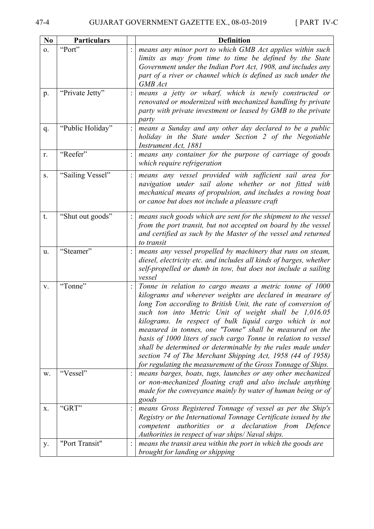| N <sub>0</sub> | <b>Particulars</b> | <b>Definition</b>                                                                                                                                                                                                                                                                                                                                                                                                                                                                                                                                                                                                                     |  |  |  |
|----------------|--------------------|---------------------------------------------------------------------------------------------------------------------------------------------------------------------------------------------------------------------------------------------------------------------------------------------------------------------------------------------------------------------------------------------------------------------------------------------------------------------------------------------------------------------------------------------------------------------------------------------------------------------------------------|--|--|--|
| 0.             | "Port"             | means any minor port to which GMB Act applies within such<br>limits as may from time to time be defined by the State<br>Government under the Indian Port Act, 1908, and includes any<br>part of a river or channel which is defined as such under the<br>GMB Act                                                                                                                                                                                                                                                                                                                                                                      |  |  |  |
| p.             | "Private Jetty"    | means a jetty or wharf, which is newly constructed or<br>renovated or modernized with mechanized handling by private<br>party with private investment or leased by GMB to the private<br>party                                                                                                                                                                                                                                                                                                                                                                                                                                        |  |  |  |
| q.             | "Public Holiday"   | means a Sunday and any other day declared to be a public<br>holiday in the State under Section 2 of the Negotiable<br>Instrument Act, 1881                                                                                                                                                                                                                                                                                                                                                                                                                                                                                            |  |  |  |
| r.             | "Reefer"           | means any container for the purpose of carriage of goods<br>which require refrigeration                                                                                                                                                                                                                                                                                                                                                                                                                                                                                                                                               |  |  |  |
| S.             | "Sailing Vessel"   | means any vessel provided with sufficient sail area for<br>navigation under sail alone whether or not fitted with<br>mechanical means of propulsion, and includes a rowing boat<br>or canoe but does not include a pleasure craft                                                                                                                                                                                                                                                                                                                                                                                                     |  |  |  |
| t.             | "Shut out goods"   | means such goods which are sent for the shipment to the vessel<br>from the port transit, but not accepted on board by the vessel<br>and certified as such by the Master of the vessel and returned<br>to transit                                                                                                                                                                                                                                                                                                                                                                                                                      |  |  |  |
| u.             | "Steamer"          | means any vessel propelled by machinery that runs on steam,<br>diesel, electricity etc. and includes all kinds of barges, whether<br>self-propelled or dumb in tow, but does not include a sailing<br>vessel                                                                                                                                                                                                                                                                                                                                                                                                                          |  |  |  |
| V.             | "Tonne"            | Tonne in relation to cargo means a metric tonne of 1000<br>kilograms and wherever weights are declared in measure of<br>long Ton according to British Unit, the rate of conversion of<br>such ton into Metric Unit of weight shall be 1,016.05<br>kilograms. In respect of bulk liquid cargo which is not<br>measured in tonnes, one "Tonne" shall be measured on the<br>basis of 1000 liters of such cargo Tonne in relation to vessel<br>shall be determined or determinable by the rules made under<br>section 74 of The Merchant Shipping Act, 1958 (44 of 1958)<br>for regulating the measurement of the Gross Tonnage of Ships. |  |  |  |
| W.             | "Vessel"           | means barges, boats, tugs, launches or any other mechanized<br>or non-mechanized floating craft and also include anything<br>made for the conveyance mainly by water of human being or of<br>goods                                                                                                                                                                                                                                                                                                                                                                                                                                    |  |  |  |
| X.             | "GRT"              | means Gross Registered Tonnage of vessel as per the Ship's<br>Registry or the International Tonnage Certificate issued by the<br>authorities or a declaration from<br>Defence<br>competent<br>Authorities in respect of war ships/Naval ships.                                                                                                                                                                                                                                                                                                                                                                                        |  |  |  |
| у.             | "Port Transit"     | means the transit area within the port in which the goods are<br>brought for landing or shipping                                                                                                                                                                                                                                                                                                                                                                                                                                                                                                                                      |  |  |  |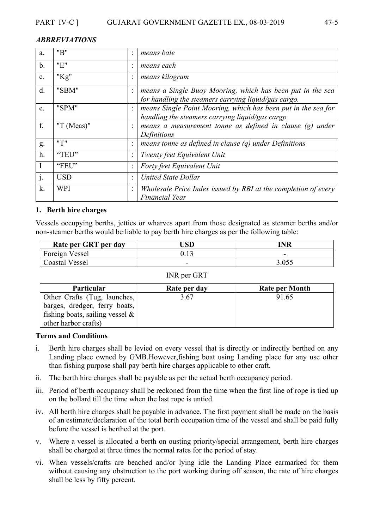#### *ABBREVIATIONS*

| a.            | "B"           | means bale                                                                                                         |
|---------------|---------------|--------------------------------------------------------------------------------------------------------------------|
| $\mathbf b$ . | "E"           | means each                                                                                                         |
| c.            | " $Kg$ "      | means kilogram                                                                                                     |
| d.            | "SBM"         | means a Single Buoy Mooring, which has been put in the sea<br>for handling the steamers carrying liquid/gas cargo. |
| e.            | "SPM"         | means Single Point Mooring, which has been put in the sea for<br>handling the steamers carrying liquid/gas cargp   |
| f.            | "T $(Meas)$ " | means a measurement tonne as defined in clause (g) under<br>Definitions                                            |
| g.            | "T"           | means tonne as defined in clause $(q)$ under Definitions                                                           |
| h.            | "TEU"         | Twenty feet Equivalent Unit                                                                                        |
| I             | "FEU"         | Forty feet Equivalent Unit                                                                                         |
| $\cdot$       | <b>USD</b>    | <b>United State Dollar</b>                                                                                         |
| k.            | <b>WPI</b>    | Wholesale Price Index issued by RBI at the completion of every<br><b>Financial Year</b>                            |

#### **1. Berth hire charges**

Vessels occupying berths, jetties or wharves apart from those designated as steamer berths and/or non-steamer berths would be liable to pay berth hire charges as per the following table:

| Rate per GRT per day  | <b>JSD</b> | <b>INR</b> |
|-----------------------|------------|------------|
| Foreign Vessel        |            | -          |
| <b>Coastal Vessel</b> | -          | 3.055      |

#### INR per GRT

| <b>Particular</b>                  | Rate per day | <b>Rate per Month</b> |
|------------------------------------|--------------|-----------------------|
| Other Crafts (Tug, launches,       | 3.67         | 91.65                 |
| barges, dredger, ferry boats,      |              |                       |
| fishing boats, sailing vessel $\&$ |              |                       |
| other harbor crafts)               |              |                       |

#### **Terms and Conditions**

- i. Berth hire charges shall be levied on every vessel that is directly or indirectly berthed on any Landing place owned by GMB.However,fishing boat using Landing place for any use other than fishing purpose shall pay berth hire charges applicable to other craft.
- ii. The berth hire charges shall be payable as per the actual berth occupancy period.
- iii. Period of berth occupancy shall be reckoned from the time when the first line of rope is tied up on the bollard till the time when the last rope is untied.
- iv. All berth hire charges shall be payable in advance. The first payment shall be made on the basis of an estimate/declaration of the total berth occupation time of the vessel and shall be paid fully before the vessel is berthed at the port.
- v. Where a vessel is allocated a berth on ousting priority/special arrangement, berth hire charges shall be charged at three times the normal rates for the period of stay.
- vi. When vessels/crafts are beached and/or lying idle the Landing Place earmarked for them without causing any obstruction to the port working during off season, the rate of hire charges shall be less by fifty percent.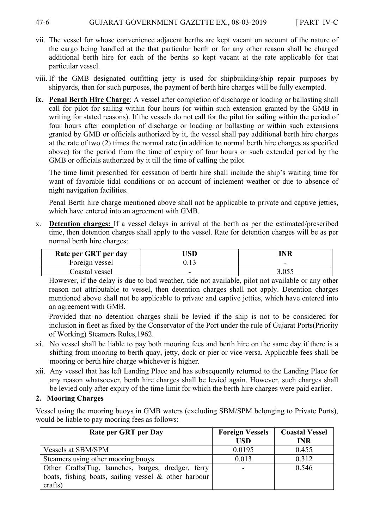- vii. The vessel for whose convenience adjacent berths are kept vacant on account of the nature of the cargo being handled at the that particular berth or for any other reason shall be charged additional berth hire for each of the berths so kept vacant at the rate applicable for that particular vessel.
- viii. If the GMB designated outfitting jetty is used for shipbuilding/ship repair purposes by shipyards, then for such purposes, the payment of berth hire charges will be fully exempted.
- **ix. Penal Berth Hire Charge**: A vessel after completion of discharge or loading or ballasting shall call for pilot for sailing within four hours (or within such extension granted by the GMB in writing for stated reasons). If the vessels do not call for the pilot for sailing within the period of four hours after completion of discharge or loading or ballasting or within such extensions granted by GMB or officials authorized by it, the vessel shall pay additional berth hire charges at the rate of two (2) times the normal rate (in addition to normal berth hire charges as specified above) for the period from the time of expiry of four hours or such extended period by the GMB or officials authorized by it till the time of calling the pilot.

 The time limit prescribed for cessation of berth hire shall include the ship's waiting time for want of favorable tidal conditions or on account of inclement weather or due to absence of night navigation facilities.

 Penal Berth hire charge mentioned above shall not be applicable to private and captive jetties, which have entered into an agreement with GMB.

x. **Detention charges:** If a vessel delays in arrival at the berth as per the estimated/prescribed time, then detention charges shall apply to the vessel. Rate for detention charges will be as per normal berth hire charges:

| Rate per GRT per day | <b>JSD</b>               | 'NR  |
|----------------------|--------------------------|------|
| Foreign vessel       |                          | -    |
| Coastal vessel       | $\overline{\phantom{0}}$ | .055 |

However, if the delay is due to bad weather, tide not available, pilot not available or any other reason not attributable to vessel, then detention charges shall not apply. Detention charges mentioned above shall not be applicable to private and captive jetties, which have entered into an agreement with GMB.

Provided that no detention charges shall be levied if the ship is not to be considered for inclusion in fleet as fixed by the Conservator of the Port under the rule of Gujarat Ports(Priority of Working) Steamers Rules,1962.

- xi. No vessel shall be liable to pay both mooring fees and berth hire on the same day if there is a shifting from mooring to berth quay, jetty, dock or pier or vice-versa. Applicable fees shall be mooring or berth hire charge whichever is higher.
- xii. Any vessel that has left Landing Place and has subsequently returned to the Landing Place for any reason whatsoever, berth hire charges shall be levied again. However, such charges shall be levied only after expiry of the time limit for which the berth hire charges were paid earlier.

# **2. Mooring Charges**

Vessel using the mooring buoys in GMB waters (excluding SBM/SPM belonging to Private Ports), would be liable to pay mooring fees as follows:

| Rate per GRT per Day                                    | <b>Foreign Vessels</b> | <b>Coastal Vessel</b> |
|---------------------------------------------------------|------------------------|-----------------------|
|                                                         | <b>USD</b>             | <b>INR</b>            |
| Vessels at SBM/SPM                                      | 0.0195                 | 0.455                 |
| Steamers using other mooring buoys                      | 0.013                  | 0.312                 |
| Other Crafts (Tug, launches, barges, dredger, ferry     |                        | 0.546                 |
| boats, fishing boats, sailing vessel $\&$ other harbour |                        |                       |
| crafts)                                                 |                        |                       |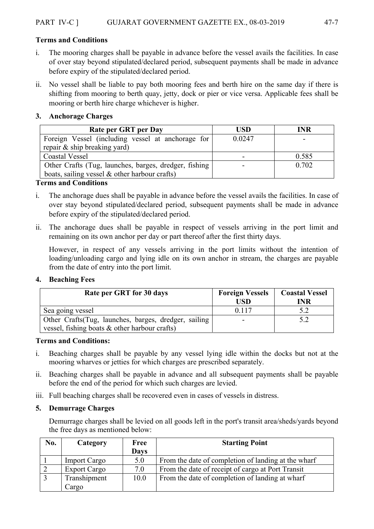#### **Terms and Conditions**

- i. The mooring charges shall be payable in advance before the vessel avails the facilities. In case of over stay beyond stipulated/declared period, subsequent payments shall be made in advance before expiry of the stipulated/declared period.
- ii. No vessel shall be liable to pay both mooring fees and berth hire on the same day if there is shifting from mooring to berth quay, jetty, dock or pier or vice versa. Applicable fees shall be mooring or berth hire charge whichever is higher.

#### **3. Anchorage Charges**

| Rate per GRT per Day                                  | <b>USD</b> | INR   |
|-------------------------------------------------------|------------|-------|
| Foreign Vessel (including vessel at anchorage for     | 0.0247     |       |
| repair & ship breaking yard)                          |            |       |
| <b>Coastal Vessel</b>                                 |            | 0.585 |
| Other Crafts (Tug, launches, barges, dredger, fishing |            | 0.702 |
| boats, sailing vessel $\&$ other harbour crafts)      |            |       |

#### **Terms and Conditions**

- i. The anchorage dues shall be payable in advance before the vessel avails the facilities. In case of over stay beyond stipulated/declared period, subsequent payments shall be made in advance before expiry of the stipulated/declared period.
- ii. The anchorage dues shall be payable in respect of vessels arriving in the port limit and remaining on its own anchor per day or part thereof after the first thirty days.

 However, in respect of any vessels arriving in the port limits without the intention of loading/unloading cargo and lying idle on its own anchor in stream, the charges are payable from the date of entry into the port limit.

#### **4. Beaching Fees**

| Rate per GRT for 30 days                                                                                  | <b>Foreign Vessels</b><br>USD- | <b>Coastal Vessel</b><br>INR |
|-----------------------------------------------------------------------------------------------------------|--------------------------------|------------------------------|
| Sea going vessel                                                                                          | 0.117                          |                              |
| Other Crafts (Tug, launches, barges, dredger, sailing<br>vessel, fishing boats $\&$ other harbour crafts) |                                |                              |

#### **Terms and Conditions:**

- i. Beaching charges shall be payable by any vessel lying idle within the docks but not at the mooring wharves or jetties for which charges are prescribed separately.
- ii. Beaching charges shall be payable in advance and all subsequent payments shall be payable before the end of the period for which such charges are levied.
- iii. Full beaching charges shall be recovered even in cases of vessels in distress.

#### **5. Demurrage Charges**

 Demurrage charges shall be levied on all goods left in the port's transit area/sheds/yards beyond the free days as mentioned below:

| No. | Category            | Free        | <b>Starting Point</b>                               |  |  |
|-----|---------------------|-------------|-----------------------------------------------------|--|--|
|     |                     | <b>Days</b> |                                                     |  |  |
|     | <b>Import Cargo</b> | 5.0         | From the date of completion of landing at the wharf |  |  |
|     | <b>Export Cargo</b> | 7.0         | From the date of receipt of cargo at Port Transit   |  |  |
|     | Transhipment        | 10.0        | From the date of completion of landing at wharf     |  |  |
|     | Cargo               |             |                                                     |  |  |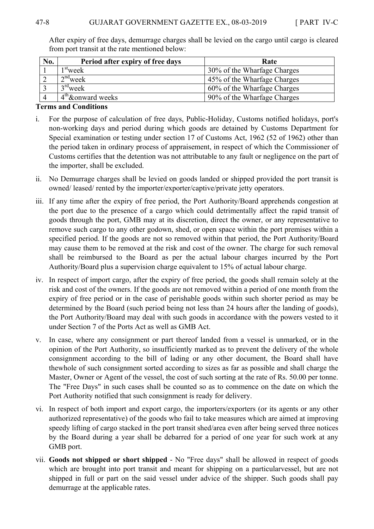| No. | Period after expiry of free days | Rate                        |
|-----|----------------------------------|-----------------------------|
|     | l <sup>st</sup> week             | 30% of the Wharfage Charges |
|     | $2nd$ week                       | 45% of the Wharfage Charges |
|     | $3rd$ week                       | 60% of the Wharfage Charges |
|     | $4th$ & onward weeks             | 90% of the Wharfage Charges |

 After expiry of free days, demurrage charges shall be levied on the cargo until cargo is cleared from port transit at the rate mentioned below:

#### **Terms and Conditions**

- i. For the purpose of calculation of free days, Public-Holiday, Customs notified holidays, port's non-working days and period during which goods are detained by Customs Department for Special examination or testing under section 17 of Customs Act, 1962 (52 of 1962) other than the period taken in ordinary process of appraisement, in respect of which the Commissioner of Customs certifies that the detention was not attributable to any fault or negligence on the part of the importer, shall be excluded.
- ii. No Demurrage charges shall be levied on goods landed or shipped provided the port transit is owned/ leased/ rented by the importer/exporter/captive/private jetty operators.
- iii. If any time after the expiry of free period, the Port Authority/Board apprehends congestion at the port due to the presence of a cargo which could detrimentally affect the rapid transit of goods through the port, GMB may at its discretion, direct the owner, or any representative to remove such cargo to any other godown, shed, or open space within the port premises within a specified period. If the goods are not so removed within that period, the Port Authority/Board may cause them to be removed at the risk and cost of the owner. The charge for such removal shall be reimbursed to the Board as per the actual labour charges incurred by the Port Authority/Board plus a supervision charge equivalent to 15% of actual labour charge.
- iv. In respect of import cargo, after the expiry of free period, the goods shall remain solely at the risk and cost of the owners. If the goods are not removed within a period of one month from the expiry of free period or in the case of perishable goods within such shorter period as may be determined by the Board (such period being not less than 24 hours after the landing of goods), the Port Authority/Board may deal with such goods in accordance with the powers vested to it under Section 7 of the Ports Act as well as GMB Act.
- v. In case, where any consignment or part thereof landed from a vessel is unmarked, or in the opinion of the Port Authority, so insufficiently marked as to prevent the delivery of the whole consignment according to the bill of lading or any other document, the Board shall have thewhole of such consignment sorted according to sizes as far as possible and shall charge the Master, Owner or Agent of the vessel, the cost of such sorting at the rate of Rs. 50.00 per tonne. The "Free Days" in such cases shall be counted so as to commence on the date on which the Port Authority notified that such consignment is ready for delivery.
- vi. In respect of both import and export cargo, the importers/exporters (or its agents or any other authorized representative) of the goods who fail to take measures which are aimed at improving speedy lifting of cargo stacked in the port transit shed/area even after being served three notices by the Board during a year shall be debarred for a period of one year for such work at any GMB port.
- vii. **Goods not shipped or short shipped** No "Free days" shall be allowed in respect of goods which are brought into port transit and meant for shipping on a particularvessel, but are not shipped in full or part on the said vessel under advice of the shipper. Such goods shall pay demurrage at the applicable rates.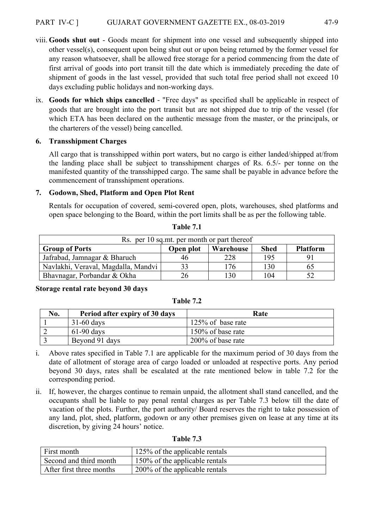#### PART IV-C ] GUJARAT GOVERNMENT GAZETTE EX., 08-03-2019 47-9

- viii. **Goods shut out** Goods meant for shipment into one vessel and subsequently shipped into other vessel(s), consequent upon being shut out or upon being returned by the former vessel for any reason whatsoever, shall be allowed free storage for a period commencing from the date of first arrival of goods into port transit till the date which is immediately preceding the date of shipment of goods in the last vessel, provided that such total free period shall not exceed 10 days excluding public holidays and non-working days.
- ix. **Goods for which ships cancelled** "Free days" as specified shall be applicable in respect of goods that are brought into the port transit but are not shipped due to trip of the vessel (for which ETA has been declared on the authentic message from the master, or the principals, or the charterers of the vessel) being cancelled.

#### **6. Transshipment Charges**

 All cargo that is transshipped within port waters, but no cargo is either landed/shipped at/from the landing place shall be subject to transshipment charges of Rs. 6.5/- per tonne on the manifested quantity of the transshipped cargo. The same shall be payable in advance before the commencement of transshipment operations.

#### **7. Godown, Shed, Platform and Open Plot Rent**

 Rentals for occupation of covered, semi-covered open, plots, warehouses, shed platforms and open space belonging to the Board, within the port limits shall be as per the following table.

| Rs. per 10 sq.mt. per month or part thereof |           |           |             |                 |  |  |  |  |
|---------------------------------------------|-----------|-----------|-------------|-----------------|--|--|--|--|
| <b>Group of Ports</b>                       | Open plot | Warehouse | <b>Shed</b> | <b>Platform</b> |  |  |  |  |
| Jafrabad, Jamnagar & Bharuch                | 46        | 228       | 195         |                 |  |  |  |  |
| Navlakhi, Veraval, Magdalla, Mandvi         |           | 176       | 130         | O)              |  |  |  |  |
| Bhavnagar, Porbandar & Okha                 | 26        | 130       | 104         |                 |  |  |  |  |

**Table 7.1** 

#### **Storage rental rate beyond 30 days**

| 'able |  |
|-------|--|
|-------|--|

| No. | Period after expiry of 30 days | Rate                 |
|-----|--------------------------------|----------------------|
|     | $31-60$ days                   | $125\%$ of base rate |
|     | $61-90$ days                   | 150% of base rate    |
|     | Beyond 91 days                 | 200% of base rate    |

- i. Above rates specified in Table 7.1 are applicable for the maximum period of 30 days from the date of allotment of storage area of cargo loaded or unloaded at respective ports. Any period beyond 30 days, rates shall be escalated at the rate mentioned below in table 7.2 for the corresponding period.
- ii. If, however, the charges continue to remain unpaid, the allotment shall stand cancelled, and the occupants shall be liable to pay penal rental charges as per Table 7.3 below till the date of vacation of the plots. Further, the port authority/ Board reserves the right to take possession of any land, plot, shed, platform, godown or any other premises given on lease at any time at its discretion, by giving 24 hours' notice.

| First month              | 125% of the applicable rentals |
|--------------------------|--------------------------------|
| Second and third month   | 150% of the applicable rentals |
| After first three months | 200% of the applicable rentals |

#### **Table 7.3**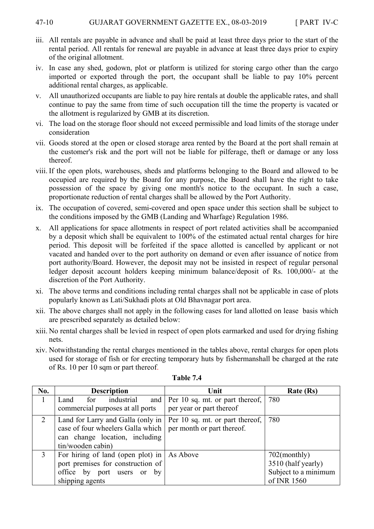- iii. All rentals are payable in advance and shall be paid at least three days prior to the start of the rental period. All rentals for renewal are payable in advance at least three days prior to expiry of the original allotment.
- iv. In case any shed, godown, plot or platform is utilized for storing cargo other than the cargo imported or exported through the port, the occupant shall be liable to pay 10% percent additional rental charges, as applicable.
- v. All unauthorized occupants are liable to pay hire rentals at double the applicable rates, and shall continue to pay the same from time of such occupation till the time the property is vacated or the allotment is regularized by GMB at its discretion.
- vi. The load on the storage floor should not exceed permissible and load limits of the storage under consideration
- vii. Goods stored at the open or closed storage area rented by the Board at the port shall remain at the customer's risk and the port will not be liable for pilferage, theft or damage or any loss thereof.
- viii. If the open plots, warehouses, sheds and platforms belonging to the Board and allowed to be occupied are required by the Board for any purpose, the Board shall have the right to take possession of the space by giving one month's notice to the occupant. In such a case, proportionate reduction of rental charges shall be allowed by the Port Authority.
- ix. The occupation of covered, semi-covered and open space under this section shall be subject to the conditions imposed by the GMB (Landing and Wharfage) Regulation 1986.
- x. All applications for space allotments in respect of port related activities shall be accompanied by a deposit which shall be equivalent to 100% of the estimated actual rental charges for hire period. This deposit will be forfeited if the space allotted is cancelled by applicant or not vacated and handed over to the port authority on demand or even after issuance of notice from port authority/Board. However, the deposit may not be insisted in respect of regular personal ledger deposit account holders keeping minimum balance/deposit of Rs. 100,000/- at the discretion of the Port Authority.
- xi. The above terms and conditions including rental charges shall not be applicable in case of plots popularly known as Lati/Sukhadi plots at Old Bhavnagar port area.
- xii. The above charges shall not apply in the following cases for land allotted on lease basis which are prescribed separately as detailed below:
- xiii. No rental charges shall be levied in respect of open plots earmarked and used for drying fishing nets.
- xiv. Notwithstanding the rental charges mentioned in the tables above, rental charges for open plots used for storage of fish or for erecting temporary huts by fishermanshall be charged at the rate of Rs. 10 per 10 sqm or part thereof.

| No. | <b>Description</b>                                                        | Unit                                  | Rate (Rs)            |
|-----|---------------------------------------------------------------------------|---------------------------------------|----------------------|
|     | for industrial<br>Land                                                    | and   Per 10 sq. mt. or part thereof, | 780                  |
|     | commercial purposes at all ports                                          | per year or part thereof              |                      |
|     | Land for Larry and Galla (only in $\vert$ Per 10 sq. mt. or part thereof, |                                       | 780                  |
|     | case of four wheelers Galla which   per month or part thereof.            |                                       |                      |
|     | can change location, including                                            |                                       |                      |
|     | tin/wooden cabin)                                                         |                                       |                      |
| 3   | For hiring of land (open plot) in $\vert$ As Above                        |                                       | $702$ (monthly)      |
|     | port premises for construction of                                         |                                       | 3510 (half yearly)   |
|     | office by port users or<br>by                                             |                                       | Subject to a minimum |
|     | shipping agents                                                           |                                       | of INR 1560          |

**Table 7.4**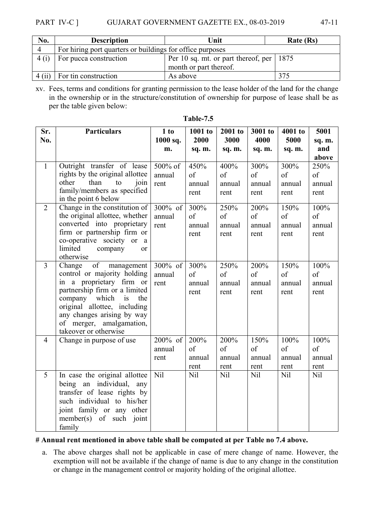#### PART IV-C ] GUJARAT GOVERNMENT GAZETTE EX., 08-03-2019

|--|--|--|

| No.  | <b>Description</b>                                                   | Unit                   | Rate (Rs) |
|------|----------------------------------------------------------------------|------------------------|-----------|
|      | For hiring port quarters or buildings for office purposes            |                        |           |
| 4(i) | Per 10 sq. mt. or part thereof, per   1875<br>For pucca construction |                        |           |
|      |                                                                      | month or part thereof. |           |
|      | $4$ (ii) For tin construction                                        | As above               | 375       |

xv. Fees, terms and conditions for granting permission to the lease holder of the land for the change in the ownership or in the structure/constitution of ownership for purpose of lease shall be as per the table given below:

| Sr.            | <b>Particulars</b>                                                                                                                                                                                                                                                      | 1 to                      | 1001 to                      | 2001 to                      | 3001 to                      | 4001 to                      | 5001                         |
|----------------|-------------------------------------------------------------------------------------------------------------------------------------------------------------------------------------------------------------------------------------------------------------------------|---------------------------|------------------------------|------------------------------|------------------------------|------------------------------|------------------------------|
| No.            |                                                                                                                                                                                                                                                                         | 1000 sq.<br>m.            | 2000<br>sq. m.               | 3000<br>sq. m.               | 4000<br>sq. m.               | 5000<br>sq. m.               | sq. m.<br>and                |
|                |                                                                                                                                                                                                                                                                         |                           |                              |                              |                              |                              | above                        |
| $\mathbf{1}$   | Outright transfer of lease<br>rights by the original allottee<br>other<br>than<br>to<br>join<br>family/members as specified<br>in the point 6 below                                                                                                                     | 500% of<br>annual<br>rent | 450%<br>of<br>annual<br>rent | 400%<br>of<br>annual<br>rent | 300%<br>of<br>annual<br>rent | 300%<br>of<br>annual<br>rent | 250%<br>of<br>annual<br>rent |
| $\overline{2}$ | Change in the constitution of<br>the original allottee, whether<br>converted into proprietary<br>firm or partnership firm or<br>co-operative society or<br><sub>a</sub><br>limited<br>company<br><sub>or</sub><br>otherwise                                             | 300% of<br>annual<br>rent | 300%<br>of<br>annual<br>rent | 250%<br>of<br>annual<br>rent | 200%<br>of<br>annual<br>rent | 150%<br>of<br>annual<br>rent | 100%<br>of<br>annual<br>rent |
| $\overline{3}$ | of<br>Change<br>management<br>control or majority holding<br>in a proprietary firm or<br>partnership firm or a limited<br>company which<br>is<br>the<br>original allottee, including<br>any changes arising by way<br>of merger, amalgamation,<br>takeover or otherwise | 300% of<br>annual<br>rent | 300%<br>of<br>annual<br>rent | 250%<br>of<br>annual<br>rent | 200%<br>of<br>annual<br>rent | 150%<br>of<br>annual<br>rent | 100%<br>of<br>annual<br>rent |
| $\overline{4}$ | Change in purpose of use                                                                                                                                                                                                                                                | 200% of<br>annual<br>rent | 200%<br>of<br>annual<br>rent | 200%<br>of<br>annual<br>rent | 150%<br>of<br>annual<br>rent | 100%<br>of<br>annual<br>rent | 100%<br>of<br>annual<br>rent |
| 5              | In case the original allottee<br>being an individual,<br>any<br>transfer of lease rights by<br>such individual to his/her<br>joint family or any other<br>member(s) of such joint<br>family                                                                             | Nil                       | Nil                          | Nil                          | Nil                          | N <sub>il</sub>              | <b>Nil</b>                   |

| `able- |  |
|--------|--|
|        |  |

#### **# Annual rent mentioned in above table shall be computed at per Table no 7.4 above.**

a. The above charges shall not be applicable in case of mere change of name. However, the exemption will not be available if the change of name is due to any change in the constitution or change in the management control or majority holding of the original allottee.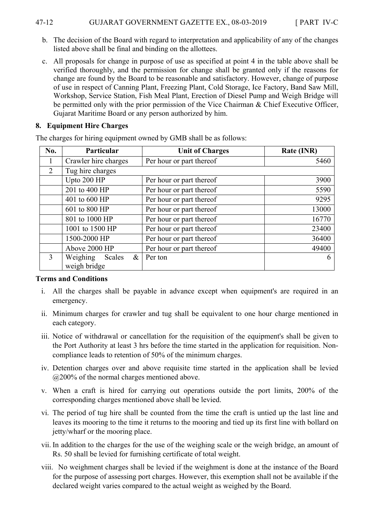- b. The decision of the Board with regard to interpretation and applicability of any of the changes listed above shall be final and binding on the allottees.
- c. All proposals for change in purpose of use as specified at point 4 in the table above shall be verified thoroughly, and the permission for change shall be granted only if the reasons for change are found by the Board to be reasonable and satisfactory. However, change of purpose of use in respect of Canning Plant, Freezing Plant, Cold Storage, Ice Factory, Band Saw Mill, Workshop, Service Station, Fish Meal Plant, Erection of Diesel Pump and Weigh Bridge will be permitted only with the prior permission of the Vice Chairman & Chief Executive Officer, Gujarat Maritime Board or any person authorized by him.

#### **8. Equipment Hire Charges**

| No.           | Particular                                 | <b>Unit of Charges</b>   | Rate (INR) |
|---------------|--------------------------------------------|--------------------------|------------|
| 1             | Crawler hire charges                       | Per hour or part thereof | 5460       |
| 2             | Tug hire charges                           |                          |            |
|               | Upto 200 HP                                | Per hour or part thereof | 3900       |
|               | 201 to 400 HP                              | Per hour or part thereof | 5590       |
|               | 401 to 600 HP                              | Per hour or part thereof | 9295       |
|               | 601 to 800 HP                              | Per hour or part thereof | 13000      |
|               | 801 to 1000 HP                             | Per hour or part thereof | 16770      |
|               | 1001 to 1500 HP                            | Per hour or part thereof | 23400      |
|               | 1500-2000 HP                               | Per hour or part thereof | 36400      |
|               | Above 2000 HP                              | Per hour or part thereof | 49400      |
| $\mathcal{E}$ | Weighing<br>$\&$<br>Scales<br>weigh bridge | Per ton                  | 6          |

The charges for hiring equipment owned by GMB shall be as follows:

#### **Terms and Conditions**

- i. All the charges shall be payable in advance except when equipment's are required in an emergency.
- ii. Minimum charges for crawler and tug shall be equivalent to one hour charge mentioned in each category.
- iii. Notice of withdrawal or cancellation for the requisition of the equipment's shall be given to the Port Authority at least 3 hrs before the time started in the application for requisition. Noncompliance leads to retention of 50% of the minimum charges.
- iv. Detention charges over and above requisite time started in the application shall be levied @200% of the normal charges mentioned above.
- v. When a craft is hired for carrying out operations outside the port limits, 200% of the corresponding charges mentioned above shall be levied.
- vi. The period of tug hire shall be counted from the time the craft is untied up the last line and leaves its mooring to the time it returns to the mooring and tied up its first line with bollard on jetty/wharf or the mooring place.
- vii. In addition to the charges for the use of the weighing scale or the weigh bridge, an amount of Rs. 50 shall be levied for furnishing certificate of total weight.
- viii. No weighment charges shall be levied if the weighment is done at the instance of the Board for the purpose of assessing port charges. However, this exemption shall not be available if the declared weight varies compared to the actual weight as weighed by the Board.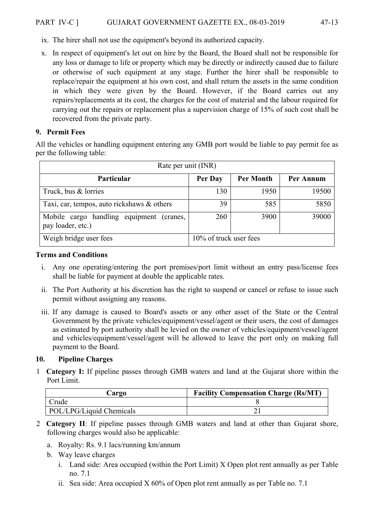- ix. The hirer shall not use the equipment's beyond its authorized capacity.
- x. In respect of equipment's let out on hire by the Board, the Board shall not be responsible for any loss or damage to life or property which may be directly or indirectly caused due to failure or otherwise of such equipment at any stage. Further the hirer shall be responsible to replace/repair the equipment at his own cost, and shall return the assets in the same condition in which they were given by the Board. However, if the Board carries out any repairs/replacements at its cost, the charges for the cost of material and the labour required for carrying out the repairs or replacement plus a supervision charge of 15% of such cost shall be recovered from the private party.

# **9. Permit Fees**

All the vehicles or handling equipment entering any GMB port would be liable to pay permit fee as per the following table:

| Rate per unit (INR)                                              |                        |                  |           |
|------------------------------------------------------------------|------------------------|------------------|-----------|
| Particular                                                       | Per Day                | <b>Per Month</b> | Per Annum |
| Truck, bus & lorries                                             | 130                    | 1950             | 19500     |
| Taxi, car, tempos, auto rickshaws & others                       | 39                     | 585              | 5850      |
| Mobile cargo handling equipment<br>(cranes,<br>pay loader, etc.) | 260                    | 3900             | 39000     |
| Weigh bridge user fees                                           | 10% of truck user fees |                  |           |

#### **Terms and Conditions**

- i. Any one operating/entering the port premises/port limit without an entry pass/license fees shall be liable for payment at double the applicable rates.
- ii. The Port Authority at his discretion has the right to suspend or cancel or refuse to issue such permit without assigning any reasons.
- iii. If any damage is caused to Board's assets or any other asset of the State or the Central Government by the private vehicles/equipment/vessel/agent or their users, the cost of damages as estimated by port authority shall be levied on the owner of vehicles/equipment/vessel/agent and vehicles/equipment/vessel/agent will be allowed to leave the port only on making full payment to the Board.

#### **10. Pipeline Charges**

1 **Category I:** If pipeline passes through GMB waters and land at the Gujarat shore within the Port Limit.

| argo_                    | <b>Facility Compensation Charge (Rs/MT)</b> |
|--------------------------|---------------------------------------------|
| Crude                    |                                             |
| POL/LPG/Liquid Chemicals |                                             |

- 2 **Category II**: If pipeline passes through GMB waters and land at other than Gujarat shore, following charges would also be applicable:
	- a. Royalty: Rs. 9.1 lacs/running km/annum
	- b. Way leave charges
		- i. Land side: Area occupied (within the Port Limit) X Open plot rent annually as per Table no. 7.1
		- ii. Sea side: Area occupied X 60% of Open plot rent annually as per Table no. 7.1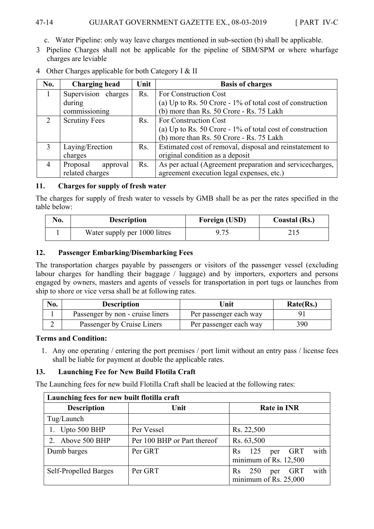# 47-14 GUJARAT GOVERNMENT GAZETTE EX., 08-03-2019 [ PART IV-C

- c. Water Pipeline: only way leave charges mentioned in sub-section (b) shall be applicable.
- 3 Pipeline Charges shall not be applicable for the pipeline of SBM/SPM or where wharfage charges are leviable

| No.           | <b>Charging head</b>        | Unit             | <b>Basis of charges</b>                                      |
|---------------|-----------------------------|------------------|--------------------------------------------------------------|
|               | Supervision charges         | R <sub>s</sub> . | For Construction Cost                                        |
|               | during                      |                  | (a) Up to Rs. 50 Crore - $1\%$ of total cost of construction |
|               | commissioning               |                  | (b) more than Rs. 50 Crore - Rs. 75 Lakh                     |
| $\mathcal{L}$ | <b>Scrutiny Fees</b><br>Rs. |                  | For Construction Cost                                        |
|               |                             |                  | (a) Up to Rs. 50 Crore - $1\%$ of total cost of construction |
|               |                             |                  | (b) more than Rs. 50 Crore - Rs. 75 Lakh                     |
| $\mathbf{3}$  | Laying/Erection<br>Rs.      |                  | Estimated cost of removal, disposal and reinstatement to     |
|               | charges                     |                  | original condition as a deposit                              |
| 4             | Proposal<br>approval        | R <sub>s</sub> . | As per actual (Agreement preparation and servicecharges,     |
|               | related charges             |                  | agreement execution legal expenses, etc.)                    |

4 Other Charges applicable for both Category I & II

#### **11. Charges for supply of fresh water**

The charges for supply of fresh water to vessels by GMB shall be as per the rates specified in the table below:

| No. | <b>Description</b>           | <b>Foreign (USD)</b> | Coastal (Rs.) |
|-----|------------------------------|----------------------|---------------|
|     | Water supply per 1000 litres | 9.75                 |               |

# **12. Passenger Embarking/Disembarking Fees**

The transportation charges payable by passengers or visitors of the passenger vessel (excluding labour charges for handling their baggage / luggage) and by importers, exporters and persons engaged by owners, masters and agents of vessels for transportation in port tugs or launches from ship to shore or vice versa shall be at following rates.

| No. | <b>Description</b>               | Unit                   | Rate(Rs.) |
|-----|----------------------------------|------------------------|-----------|
|     | Passenger by non - cruise liners | Per passenger each way |           |
|     | Passenger by Cruise Liners       | Per passenger each way | 390       |

#### **Terms and Condition:**

1. Any one operating / entering the port premises / port limit without an entry pass / license fees shall be liable for payment at double the applicable rates.

# **13. Launching Fee for New Build Flotila Craft**

The Launching fees for new build Flotilla Craft shall be leacied at the following rates:

| Launching fees for new built flotilla craft |                             |                                                                         |  |
|---------------------------------------------|-----------------------------|-------------------------------------------------------------------------|--|
| <b>Description</b>                          | Unit                        | <b>Rate in INR</b>                                                      |  |
| Tug/Launch                                  |                             |                                                                         |  |
| Upto 500 BHP                                | Per Vessel                  | Rs. 22,500                                                              |  |
| Above 500 BHP                               | Per 100 BHP or Part thereof | Rs. 63,500                                                              |  |
| Dumb barges                                 | Per GRT                     | with<br>125<br>per GRT<br><b>Rs</b><br>minimum of Rs. 12,500            |  |
| Self-Propelled Barges                       | Per GRT                     | with<br>250<br><b>GRT</b><br><b>R</b> s<br>per<br>minimum of Rs. 25,000 |  |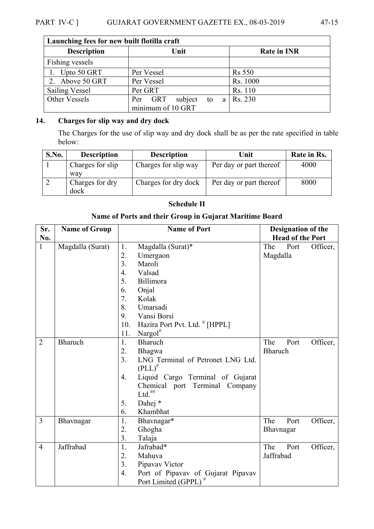| Launching fees for new built flotilla craft |                          |                          |  |  |
|---------------------------------------------|--------------------------|--------------------------|--|--|
| <b>Description</b>                          | Unit                     | <b>Rate in INR</b>       |  |  |
| Fishing vessels                             |                          |                          |  |  |
| 1. Upto $50$ GRT                            | Per Vessel               | <b>Rs</b> 550            |  |  |
| 2. Above 50 GRT                             | Per Vessel               | Rs. 1000                 |  |  |
| <b>Sailing Vessel</b>                       | Per GRT                  | Rs. 110                  |  |  |
| Other Vessels                               | subject<br>Per GRT<br>to | $a \mid \text{Rs. } 230$ |  |  |
|                                             | minimum of 10 GRT        |                          |  |  |

# **14. Charges for slip way and dry dock**

 $\mathbf{r}$ 

The Charges for the use of slip way and dry dock shall be as per the rate specified in table below:

| S.No. | <b>Description</b>      | <b>Description</b>   | Unit                    | Rate in Rs. |
|-------|-------------------------|----------------------|-------------------------|-------------|
|       | Charges for slip        | Charges for slip way | Per day or part thereof | 4000        |
|       | way                     |                      |                         |             |
|       | Charges for dry<br>dock | Charges for dry dock | Per day or part thereof | 8000        |
|       |                         |                      |                         |             |

# **Schedule II**

# **Name of Ports and their Group in Gujarat Maritime Board**

| Sr.            | <b>Name of Group</b> | <b>Name of Port</b>                                    | <b>Designation of the</b> |
|----------------|----------------------|--------------------------------------------------------|---------------------------|
| No.            |                      |                                                        | <b>Head of the Port</b>   |
| $\mathbf{1}$   | Magdalla (Surat)     | Magdalla (Surat)*<br>1.                                | The<br>Port<br>Officer,   |
|                |                      | 2.<br>Umergaon                                         | Magdalla                  |
|                |                      | 3.<br>Maroli                                           |                           |
|                |                      | $\overline{4}$ .<br>Valsad                             |                           |
|                |                      | 5.<br>Billimora                                        |                           |
|                |                      | 6.<br>Onjal                                            |                           |
|                |                      | 7.<br>Kolak                                            |                           |
|                |                      | 8.<br>Umarsadi                                         |                           |
|                |                      | Vansi Borsi<br>9.                                      |                           |
|                |                      | Hazira Port Pvt. Ltd. # [HPPL]<br>10.                  |                           |
|                |                      | Nargol $^{\#}$<br>11.                                  |                           |
| $\overline{2}$ | <b>Bharuch</b>       | 1.<br>Bharuch                                          | The<br>Port<br>Officer,   |
|                |                      | 2.<br>Bhagwa                                           | <b>Bharuch</b>            |
|                |                      | 3 <sub>1</sub><br>LNG Terminal of Petronet LNG Ltd.    |                           |
|                |                      | $(PLL)^{\#}$                                           |                           |
|                |                      | Liquid Cargo Terminal of Gujarat<br>4.                 |                           |
|                |                      | Terminal Company<br>Chemical port                      |                           |
|                |                      | $\mathbf{Ltd.}^{\textit{\#}\#}$                        |                           |
|                |                      | Dahej *<br>5.                                          |                           |
|                |                      | 6.<br>Khambhat                                         |                           |
| $\overline{3}$ | Bhavnagar            | 1.<br>Bhavnagar*                                       | The<br>Officer,<br>Port   |
|                |                      | 2.<br>Ghogha                                           | Bhavnagar                 |
|                |                      | 3.<br>Talaja                                           |                           |
| $\overline{4}$ | Jaffrabad            | 1.<br>Jafrabad*                                        | The<br>Officer,<br>Port   |
|                |                      | 2.<br>Mahuva                                           | Jaffrabad                 |
|                |                      | 3.<br>Pipavav Victor                                   |                           |
|                |                      | $\overline{4}$ .<br>Port of Pipavav of Gujarat Pipavav |                           |
|                |                      | Port Limited (GPPL) <sup>#</sup>                       |                           |

÷,